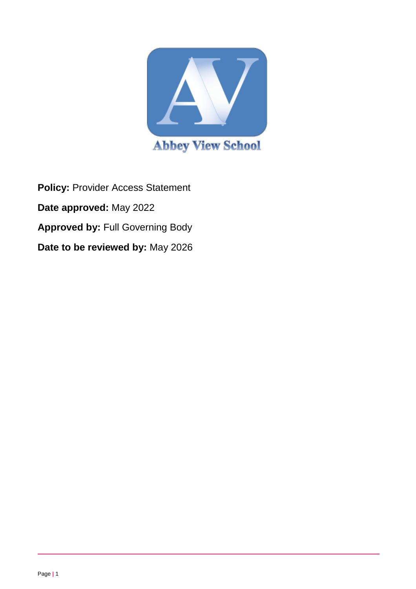

**Policy:** Provider Access Statement **Date approved:** May 2022 **Approved by:** Full Governing Body **Date to be reviewed by:** May 2026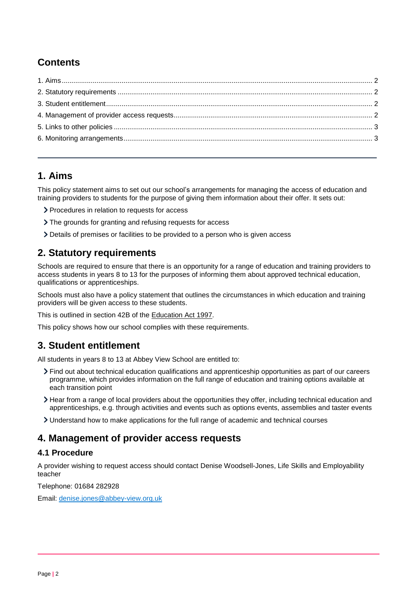# **Contents**

### <span id="page-1-0"></span>**1. Aims**

This policy statement aims to set out our school's arrangements for managing the access of education and training providers to students for the purpose of giving them information about their offer. It sets out:

- > Procedures in relation to requests for access
- The grounds for granting and refusing requests for access
- Details of premises or facilities to be provided to a person who is given access

## <span id="page-1-1"></span>**2. Statutory requirements**

Schools are required to ensure that there is an opportunity for a range of education and training providers to access students in years 8 to 13 for the purposes of informing them about approved technical education, qualifications or apprenticeships.

Schools must also have a policy statement that outlines the circumstances in which education and training providers will be given access to these students.

This is outlined in section 42B of the [Education Act 1997.](https://www.legislation.gov.uk/ukpga/1997/44/section/42B)

This policy shows how our school complies with these requirements.

## <span id="page-1-2"></span>**3. Student entitlement**

All students in years 8 to 13 at Abbey View School are entitled to:

- Find out about technical education qualifications and apprenticeship opportunities as part of our careers programme, which provides information on the full range of education and training options available at each transition point
- Hear from a range of local providers about the opportunities they offer, including technical education and apprenticeships, e.g. through activities and events such as options events, assemblies and taster events
- Understand how to make applications for the full range of academic and technical courses

## <span id="page-1-3"></span>**4. Management of provider access requests**

### **4.1 Procedure**

A provider wishing to request access should contact Denise Woodsell-Jones, Life Skills and Employability teacher

Telephone: 01684 282928

Email: [denise.jones@abbey-view.org.uk](mailto:denise.jones@abbey-view.org.uk)